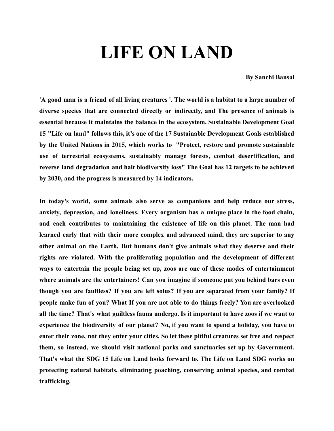## **LIFE ON LAND**

**By Sanchi Bansal**

'A good man is a friend of all living creatures '. The world is a habitat to a large number of **diverse species that are connected directly or indirectly, and The presence of animals is essential because it maintains the balance in the ecosystem. Sustainable Development Goal 15 "Life on land" follows this, it's one of the 17 Sustainable Development Goals established by the United [Nations](https://en.wikipedia.org/wiki/United_Nations) in 2015, which works to "Protect, restore and promote sustainable use of terrestrial ecosystems, sustainably manage forests, combat [desertification](https://en.wikipedia.org/wiki/Desertification), and reverse land degradation and halt [biodiversity](https://en.wikipedia.org/wiki/Biodiversity) loss" The Goal has 12 targets to be achieved by 2030, and the progress is measured by 14 indicators.**

**In today's world, some animals also serve as companions and help reduce our stress, anxiety, depression, and loneliness. Every organism has a unique place in the food chain, and each contributes to maintaining the existence of life on this planet. The man had learned early that with their more complex and advanced mind, they are superior to any other animal on the Earth. But humans don't give animals what they deserve and their rights are violated. With the proliferating population and the development of different ways to entertain the people being set up, zoos are one of these modes of entertainment where animals are the entertainers! Can you imagine if someone put you behind bars even though you are faultless? If you are left solus? If you are separated from your family? If people make fun of you? What If you are not able to do things freely? You are overlooked all the time? That's what guiltless fauna undergo. Is it important to have zoos if we want to experience the biodiversity of our planet? No, if you want to spend a holiday, you have to enter their zone, not they enter your cities. So let these pitiful creatures set free and respect them, so instead, we should visit national parks and sanctuaries set up by Government. That's what the SDG 15 Life on Land looks forward to. The Life on Land SDG works on protecting natural habitats, eliminating poaching, conserving animal species, and combat trafficking.**